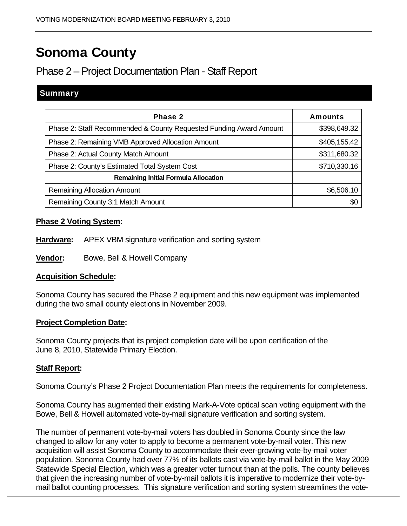# Sonoma County

# Phase 2 – Project Documentation Plan - Staff Report

# **Summary**

| Phase 2                                                            | <b>Amounts</b> |
|--------------------------------------------------------------------|----------------|
| Phase 2: Staff Recommended & County Requested Funding Award Amount | \$398,649.32   |
| Phase 2: Remaining VMB Approved Allocation Amount                  | \$405,155.42   |
| Phase 2: Actual County Match Amount                                | \$311,680.32   |
| Phase 2: County's Estimated Total System Cost                      | \$710,330.16   |
| <b>Remaining Initial Formula Allocation</b>                        |                |
| <b>Remaining Allocation Amount</b>                                 | \$6,506.10     |
| Remaining County 3:1 Match Amount                                  | \$0            |

## **Phase 2 Voting System:**

- **Hardware:** APEX VBM signature verification and sorting system
- **Vendor:** Bowe, Bell & Howell Company

### **Acquisition Schedule:**

Sonoma County has secured the Phase 2 equipment and this new equipment was implemented during the two small county elections in November 2009.

### **Project Completion Date:**

Sonoma County projects that its project completion date will be upon certification of the June 8, 2010, Statewide Primary Election.

### **Staff Report:**

Sonoma County's Phase 2 Project Documentation Plan meets the requirements for completeness.

Sonoma County has augmented their existing Mark-A-Vote optical scan voting equipment with the Bowe, Bell & Howell automated vote-by-mail signature verification and sorting system.

The number of permanent vote-by-mail voters has doubled in Sonoma County since the law changed to allow for any voter to apply to become a permanent vote-by-mail voter. This new acquisition will assist Sonoma County to accommodate their ever-growing vote-by-mail voter population. Sonoma County had over 77% of its ballots cast via vote-by-mail ballot in the May 2009 Statewide Special Election, which was a greater voter turnout than at the polls. The county believes that given the increasing number of vote-by-mail ballots it is imperative to modernize their vote-bymail ballot counting processes. This signature verification and sorting system streamlines the vote-